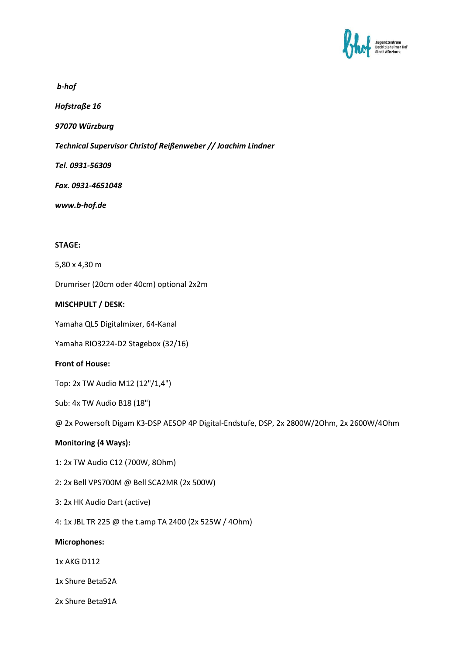

*b-hof* 

*Hofstraße 16* 

*97070 Würzburg* 

*Technical Supervisor Christof Reißenweber // Joachim Lindner*

*Tel. 0931-56309* 

*Fax. 0931-4651048* 

*www.b-hof.de* 

# **STAGE:**

5,80 x 4,30 m

Drumriser (20cm oder 40cm) optional 2x2m

## **MISCHPULT / DESK:**

Yamaha QL5 Digitalmixer, 64-Kanal

Yamaha RIO3224-D2 Stagebox (32/16)

## **Front of House:**

Top: 2x TW Audio M12 (12"/1,4")

Sub: 4x TW Audio B18 (18")

@ 2x Powersoft Digam K3-DSP AESOP 4P Digital-Endstufe, DSP, 2x 2800W/2Ohm, 2x 2600W/4Ohm

## **Monitoring (4 Ways):**

- 1: 2x TW Audio C12 (700W, 8Ohm)
- 2: 2x Bell VPS700M @ Bell SCA2MR (2x 500W)
- 3: 2x HK Audio Dart (active)
- 4: 1x JBL TR 225 @ the t.amp TA 2400 (2x 525W / 4Ohm)

#### **Microphones:**

1x AKG D112

1x Shure Beta52A

2x Shure Beta91A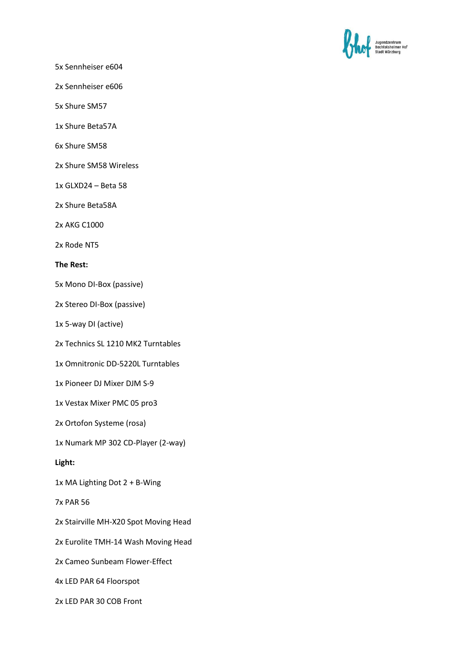

5x Sennheiser e604

2x Sennheiser e606

5x Shure SM57

1x Shure Beta57A

6x Shure SM58

2x Shure SM58 Wireless

1x GLXD24 – Beta 58

2x Shure Beta58A

2x AKG C1000

2x Rode NT5

#### **The Rest:**

5x Mono DI-Box (passive)

2x Stereo DI-Box (passive)

1x 5-way DI (active)

2x Technics SL 1210 MK2 Turntables

1x Omnitronic DD-5220L Turntables

1x Pioneer DJ Mixer DJM S-9

1x Vestax Mixer PMC 05 pro3

2x Ortofon Systeme (rosa)

1x Numark MP 302 CD-Player (2-way)

**Light:** 

1x MA Lighting Dot 2 + B-Wing

7x PAR 56

2x Stairville MH-X20 Spot Moving Head

2x Eurolite TMH-14 Wash Moving Head

2x Cameo Sunbeam Flower-Effect

4x LED PAR 64 Floorspot

2x LED PAR 30 COB Front